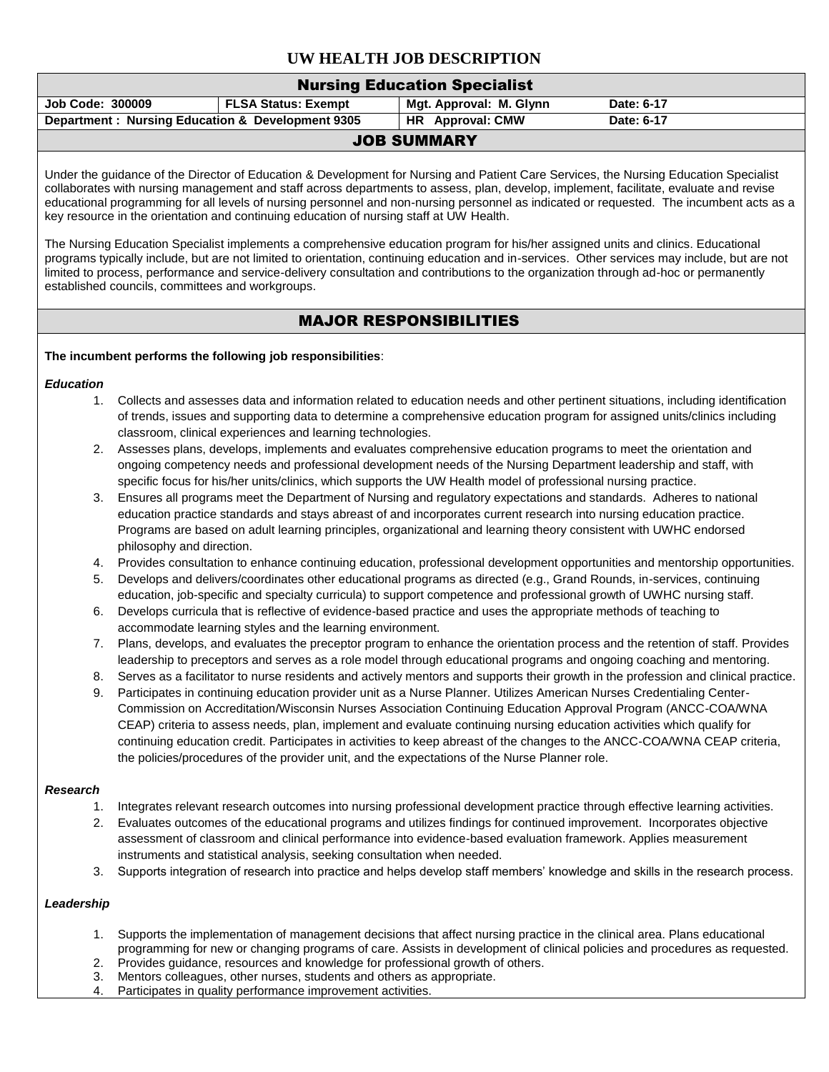# **UW HEALTH JOB DESCRIPTION**

| <b>Nursing Education Specialist</b>              |                            |                         |            |  |  |  |  |
|--------------------------------------------------|----------------------------|-------------------------|------------|--|--|--|--|
| <b>Job Code: 300009</b>                          | <b>FLSA Status: Exempt</b> | Mgt. Approval: M. Glynn | Date: 6-17 |  |  |  |  |
| Department: Nursing Education & Development 9305 |                            | HR Approval: CMW        | Date: 6-17 |  |  |  |  |
| <b>JOB SUMMARY</b>                               |                            |                         |            |  |  |  |  |

Under the guidance of the Director of Education & Development for Nursing and Patient Care Services, the Nursing Education Specialist collaborates with nursing management and staff across departments to assess, plan, develop, implement, facilitate, evaluate and revise educational programming for all levels of nursing personnel and non-nursing personnel as indicated or requested. The incumbent acts as a key resource in the orientation and continuing education of nursing staff at UW Health.

The Nursing Education Specialist implements a comprehensive education program for his/her assigned units and clinics. Educational programs typically include, but are not limited to orientation, continuing education and in-services. Other services may include, but are not limited to process, performance and service-delivery consultation and contributions to the organization through ad-hoc or permanently established councils, committees and workgroups.

# MAJOR RESPONSIBILITIES

#### **The incumbent performs the following job responsibilities**:

#### *Education*

- 1. Collects and assesses data and information related to education needs and other pertinent situations, including identification of trends, issues and supporting data to determine a comprehensive education program for assigned units/clinics including classroom, clinical experiences and learning technologies.
- 2. Assesses plans, develops, implements and evaluates comprehensive education programs to meet the orientation and ongoing competency needs and professional development needs of the Nursing Department leadership and staff, with specific focus for his/her units/clinics, which supports the UW Health model of professional nursing practice.
- 3. Ensures all programs meet the Department of Nursing and regulatory expectations and standards. Adheres to national education practice standards and stays abreast of and incorporates current research into nursing education practice. Programs are based on adult learning principles, organizational and learning theory consistent with UWHC endorsed philosophy and direction.
- 4. Provides consultation to enhance continuing education, professional development opportunities and mentorship opportunities.
- 5. Develops and delivers/coordinates other educational programs as directed (e.g., Grand Rounds, in-services, continuing education, job-specific and specialty curricula) to support competence and professional growth of UWHC nursing staff.
- 6. Develops curricula that is reflective of evidence-based practice and uses the appropriate methods of teaching to accommodate learning styles and the learning environment.
- 7. Plans, develops, and evaluates the preceptor program to enhance the orientation process and the retention of staff. Provides leadership to preceptors and serves as a role model through educational programs and ongoing coaching and mentoring.
- 8. Serves as a facilitator to nurse residents and actively mentors and supports their growth in the profession and clinical practice.
- 9. Participates in continuing education provider unit as a Nurse Planner. Utilizes American Nurses Credentialing Center-Commission on Accreditation/Wisconsin Nurses Association Continuing Education Approval Program (ANCC-COA/WNA CEAP) criteria to assess needs, plan, implement and evaluate continuing nursing education activities which qualify for continuing education credit. Participates in activities to keep abreast of the changes to the ANCC-COA/WNA CEAP criteria, the policies/procedures of the provider unit, and the expectations of the Nurse Planner role.

## *Research*

- 1. Integrates relevant research outcomes into nursing professional development practice through effective learning activities.
- 2. Evaluates outcomes of the educational programs and utilizes findings for continued improvement. Incorporates objective assessment of classroom and clinical performance into evidence-based evaluation framework. Applies measurement instruments and statistical analysis, seeking consultation when needed.
- 3. Supports integration of research into practice and helps develop staff members' knowledge and skills in the research process.

## *Leadership*

- 1. Supports the implementation of management decisions that affect nursing practice in the clinical area. Plans educational programming for new or changing programs of care. Assists in development of clinical policies and procedures as requested.
- 2. Provides guidance, resources and knowledge for professional growth of others.
- 3. Mentors colleagues, other nurses, students and others as appropriate.
- 4. Participates in quality performance improvement activities.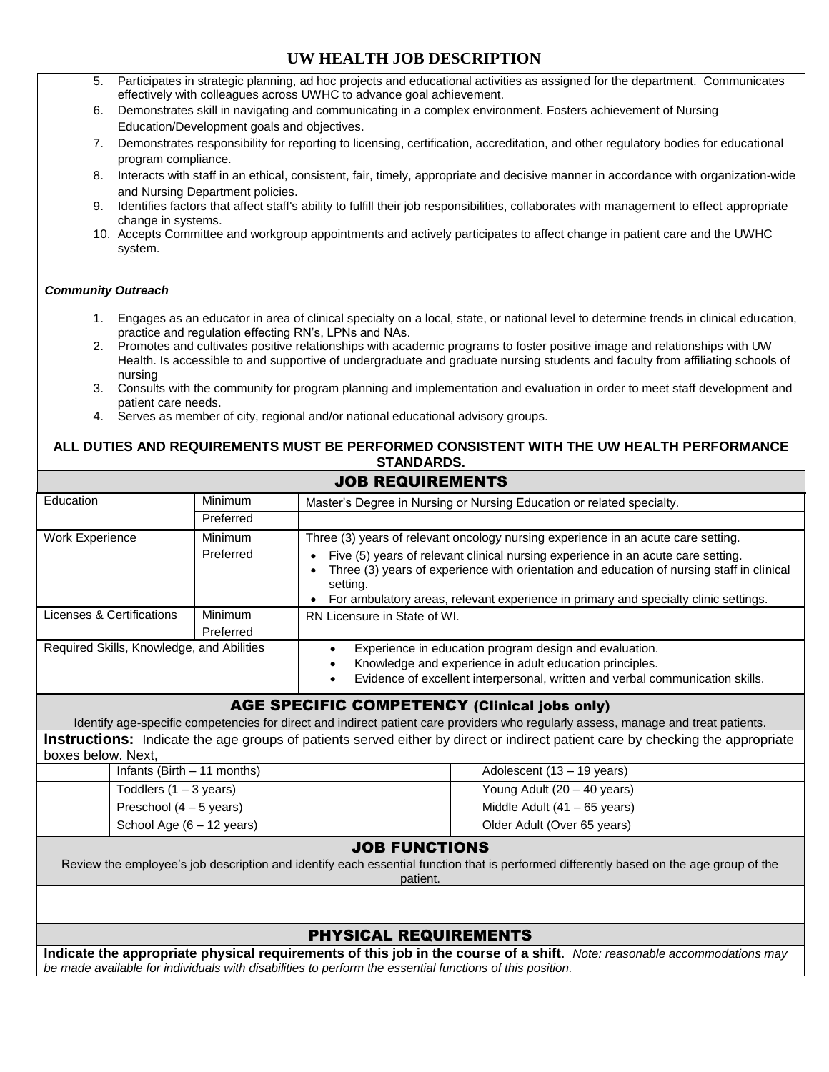# **UW HEALTH JOB DESCRIPTION**

| 5.                                                                                                                                                                          | Participates in strategic planning, ad hoc projects and educational activities as assigned for the department. Communicates<br>effectively with colleagues across UWHC to advance goal achievement.                                                                                                                            |                |                                                                                                                                    |                                                                                                                                      |  |  |  |
|-----------------------------------------------------------------------------------------------------------------------------------------------------------------------------|--------------------------------------------------------------------------------------------------------------------------------------------------------------------------------------------------------------------------------------------------------------------------------------------------------------------------------|----------------|------------------------------------------------------------------------------------------------------------------------------------|--------------------------------------------------------------------------------------------------------------------------------------|--|--|--|
| 6.                                                                                                                                                                          | Demonstrates skill in navigating and communicating in a complex environment. Fosters achievement of Nursing                                                                                                                                                                                                                    |                |                                                                                                                                    |                                                                                                                                      |  |  |  |
|                                                                                                                                                                             | Education/Development goals and objectives.                                                                                                                                                                                                                                                                                    |                |                                                                                                                                    |                                                                                                                                      |  |  |  |
| 7.                                                                                                                                                                          | Demonstrates responsibility for reporting to licensing, certification, accreditation, and other regulatory bodies for educational                                                                                                                                                                                              |                |                                                                                                                                    |                                                                                                                                      |  |  |  |
|                                                                                                                                                                             | program compliance.                                                                                                                                                                                                                                                                                                            |                |                                                                                                                                    |                                                                                                                                      |  |  |  |
| 8.                                                                                                                                                                          |                                                                                                                                                                                                                                                                                                                                |                | Interacts with staff in an ethical, consistent, fair, timely, appropriate and decisive manner in accordance with organization-wide |                                                                                                                                      |  |  |  |
| 9.                                                                                                                                                                          | and Nursing Department policies.<br>Identifies factors that affect staff's ability to fulfill their job responsibilities, collaborates with management to effect appropriate<br>change in systems.<br>10. Accepts Committee and workgroup appointments and actively participates to affect change in patient care and the UWHC |                |                                                                                                                                    |                                                                                                                                      |  |  |  |
|                                                                                                                                                                             | system.                                                                                                                                                                                                                                                                                                                        |                |                                                                                                                                    |                                                                                                                                      |  |  |  |
| <b>Community Outreach</b>                                                                                                                                                   |                                                                                                                                                                                                                                                                                                                                |                |                                                                                                                                    |                                                                                                                                      |  |  |  |
| 1.                                                                                                                                                                          |                                                                                                                                                                                                                                                                                                                                |                | practice and regulation effecting RN's, LPNs and NAs.                                                                              | Engages as an educator in area of clinical specialty on a local, state, or national level to determine trends in clinical education, |  |  |  |
| 2.                                                                                                                                                                          | Promotes and cultivates positive relationships with academic programs to foster positive image and relationships with UW<br>Health. Is accessible to and supportive of undergraduate and graduate nursing students and faculty from affiliating schools of<br>nursing                                                          |                |                                                                                                                                    |                                                                                                                                      |  |  |  |
|                                                                                                                                                                             | patient care needs.                                                                                                                                                                                                                                                                                                            |                |                                                                                                                                    | 3. Consults with the community for program planning and implementation and evaluation in order to meet staff development and         |  |  |  |
|                                                                                                                                                                             |                                                                                                                                                                                                                                                                                                                                |                | 4. Serves as member of city, regional and/or national educational advisory groups.                                                 |                                                                                                                                      |  |  |  |
|                                                                                                                                                                             |                                                                                                                                                                                                                                                                                                                                |                | <b>STANDARDS.</b>                                                                                                                  | ALL DUTIES AND REQUIREMENTS MUST BE PERFORMED CONSISTENT WITH THE UW HEALTH PERFORMANCE                                              |  |  |  |
|                                                                                                                                                                             |                                                                                                                                                                                                                                                                                                                                |                | <b>JOB REQUIREMENTS</b>                                                                                                            |                                                                                                                                      |  |  |  |
| Education                                                                                                                                                                   |                                                                                                                                                                                                                                                                                                                                | Minimum        |                                                                                                                                    | Master's Degree in Nursing or Nursing Education or related specialty.                                                                |  |  |  |
|                                                                                                                                                                             |                                                                                                                                                                                                                                                                                                                                | Preferred      |                                                                                                                                    |                                                                                                                                      |  |  |  |
| <b>Work Experience</b>                                                                                                                                                      |                                                                                                                                                                                                                                                                                                                                | Minimum        |                                                                                                                                    | Three (3) years of relevant oncology nursing experience in an acute care setting.                                                    |  |  |  |
|                                                                                                                                                                             |                                                                                                                                                                                                                                                                                                                                | Preferred      |                                                                                                                                    | Five (5) years of relevant clinical nursing experience in an acute care setting.                                                     |  |  |  |
|                                                                                                                                                                             |                                                                                                                                                                                                                                                                                                                                |                | Three (3) years of experience with orientation and education of nursing staff in clinical                                          |                                                                                                                                      |  |  |  |
|                                                                                                                                                                             |                                                                                                                                                                                                                                                                                                                                |                | setting.                                                                                                                           |                                                                                                                                      |  |  |  |
|                                                                                                                                                                             |                                                                                                                                                                                                                                                                                                                                |                |                                                                                                                                    | For ambulatory areas, relevant experience in primary and specialty clinic settings.                                                  |  |  |  |
| <b>Licenses &amp; Certifications</b>                                                                                                                                        |                                                                                                                                                                                                                                                                                                                                | <b>Minimum</b> | RN Licensure in State of WI.                                                                                                       |                                                                                                                                      |  |  |  |
|                                                                                                                                                                             |                                                                                                                                                                                                                                                                                                                                | Preferred      |                                                                                                                                    |                                                                                                                                      |  |  |  |
| Required Skills, Knowledge, and Abilities<br>Experience in education program design and evaluation.<br>$\bullet$<br>Knowledge and experience in adult education principles. |                                                                                                                                                                                                                                                                                                                                |                |                                                                                                                                    |                                                                                                                                      |  |  |  |
|                                                                                                                                                                             |                                                                                                                                                                                                                                                                                                                                |                |                                                                                                                                    | Evidence of excellent interpersonal, written and verbal communication skills.                                                        |  |  |  |
|                                                                                                                                                                             |                                                                                                                                                                                                                                                                                                                                |                | <b>AGE SPECIFIC COMPETENCY (Clinical jobs only)</b>                                                                                |                                                                                                                                      |  |  |  |
|                                                                                                                                                                             |                                                                                                                                                                                                                                                                                                                                |                |                                                                                                                                    | Identify age-specific competencies for direct and indirect patient care providers who regularly assess, manage and treat patients.   |  |  |  |
| boxes below. Next,                                                                                                                                                          |                                                                                                                                                                                                                                                                                                                                |                |                                                                                                                                    | Instructions: Indicate the age groups of patients served either by direct or indirect patient care by checking the appropriate       |  |  |  |
|                                                                                                                                                                             | Infants (Birth $-11$ months)                                                                                                                                                                                                                                                                                                   |                |                                                                                                                                    | Adolescent (13 - 19 years)                                                                                                           |  |  |  |
|                                                                                                                                                                             | Toddlers $(1 - 3$ years)                                                                                                                                                                                                                                                                                                       |                |                                                                                                                                    | Young Adult (20 - 40 years)                                                                                                          |  |  |  |
|                                                                                                                                                                             | Preschool (4 - 5 years)                                                                                                                                                                                                                                                                                                        |                |                                                                                                                                    | Middle Adult $(41 - 65$ years)                                                                                                       |  |  |  |
|                                                                                                                                                                             | School Age $(6 - 12$ years)                                                                                                                                                                                                                                                                                                    |                |                                                                                                                                    | Older Adult (Over 65 years)                                                                                                          |  |  |  |
|                                                                                                                                                                             |                                                                                                                                                                                                                                                                                                                                |                | <b>JOB FUNCTIONS</b>                                                                                                               |                                                                                                                                      |  |  |  |
| Review the employee's job description and identify each essential function that is performed differently based on the age group of the<br>patient.                          |                                                                                                                                                                                                                                                                                                                                |                |                                                                                                                                    |                                                                                                                                      |  |  |  |
|                                                                                                                                                                             |                                                                                                                                                                                                                                                                                                                                |                |                                                                                                                                    |                                                                                                                                      |  |  |  |
| <b>PHYSICAL REQUIREMENTS</b>                                                                                                                                                |                                                                                                                                                                                                                                                                                                                                |                |                                                                                                                                    |                                                                                                                                      |  |  |  |

**Indicate the appropriate physical requirements of this job in the course of a shift.** *Note: reasonable accommodations may be made available for individuals with disabilities to perform the essential functions of this position.*